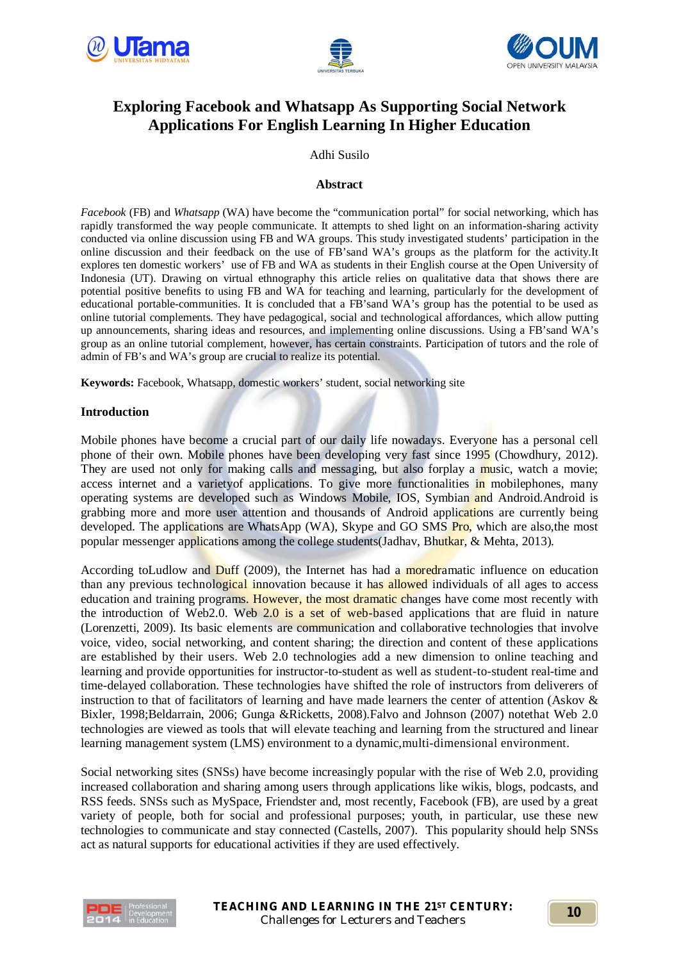





# **Exploring Facebook and Whatsapp As Supporting Social Network Applications For English Learning In Higher Education**

Adhi Susilo

#### **Abstract**

*Facebook* (FB) and *Whatsapp* (WA) have become the "communication portal" for social networking, which has rapidly transformed the way people communicate. It attempts to shed light on an information-sharing activity conducted via online discussion using FB and WA groups. This study investigated students' participation in the online discussion and their feedback on the use of FB'sand WA's groups as the platform for the activity.It explores ten domestic workers' use of FB and WA as students in their English course at the Open University of Indonesia (UT). Drawing on virtual ethnography this article relies on qualitative data that shows there are potential positive benefits to using FB and WA for teaching and learning, particularly for the development of educational portable-communities. It is concluded that a FB'sand WA's group has the potential to be used as online tutorial complements. They have pedagogical, social and technological affordances, which allow putting up announcements, sharing ideas and resources, and implementing online discussions. Using a FB'sand WA's group as an online tutorial complement, however, has certain constraints. Participation of tutors and the role of admin of FB's and WA's group are crucial to realize its potential.

**Keywords:** Facebook, Whatsapp, domestic workers' student, social networking site

## **Introduction**

Mobile phones have become a crucial part of our daily life nowadays. Everyone has a personal cell phone of their own. Mobile phones have been developing very fast since 1995 (Chowdhury, 2012). They are used not only for making calls and messaging, but also forplay a music, watch a movie; access internet and a varietyof applications. To give more functionalities in mobilephones, many operating systems are developed such as Windows Mobile, IOS, Symbian and Android.Android is grabbing more and more user attention and thousands of Android applications are currently being developed. The applications are WhatsApp (WA), Skype and GO SMS Pro, which are also, the most popular messenger applications among the college students(Jadhav, Bhutkar, & Mehta, 2013).

According toLudlow and Duff (2009), the Internet has had a moredramatic influence on education than any previous technological innovation because it has allowed individuals of all ages to access education and training programs. However, the most dramatic changes have come most recently with the introduction of Web2.0. Web  $2.0$  is a set of web-based applications that are fluid in nature (Lorenzetti, 2009). Its basic elements are communication and collaborative technologies that involve voice, video, social networking, and content sharing; the direction and content of these applications are established by their users. Web 2.0 technologies add a new dimension to online teaching and learning and provide opportunities for instructor-to-student as well as student-to-student real-time and time-delayed collaboration. These technologies have shifted the role of instructors from deliverers of instruction to that of facilitators of learning and have made learners the center of attention (Askov & Bixler, 1998;Beldarrain, 2006; Gunga &Ricketts, 2008).Falvo and Johnson (2007) notethat Web 2.0 technologies are viewed as tools that will elevate teaching and learning from the structured and linear learning management system (LMS) environment to a dynamic,multi-dimensional environment.

Social networking sites (SNSs) have become increasingly popular with the rise of Web 2.0, providing increased collaboration and sharing among users through applications like wikis, blogs, podcasts, and RSS feeds. SNSs such as MySpace, Friendster and, most recently, Facebook (FB), are used by a great variety of people, both for social and professional purposes; youth, in particular, use these new technologies to communicate and stay connected (Castells, 2007). This popularity should help SNSs act as natural supports for educational activities if they are used effectively.

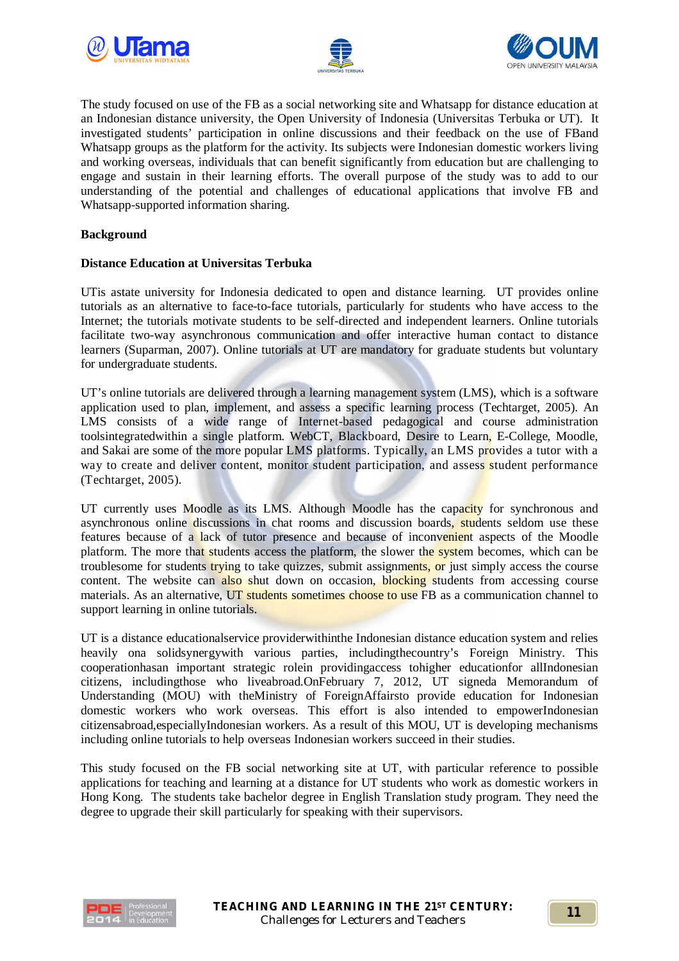





The study focused on use of the FB as a social networking site and Whatsapp for distance education at an Indonesian distance university, the Open University of Indonesia (Universitas Terbuka or UT). It investigated students' participation in online discussions and their feedback on the use of FBand Whatsapp groups as the platform for the activity. Its subjects were Indonesian domestic workers living and working overseas, individuals that can benefit significantly from education but are challenging to engage and sustain in their learning efforts. The overall purpose of the study was to add to our understanding of the potential and challenges of educational applications that involve FB and Whatsapp-supported information sharing.

## **Background**

# **Distance Education at Universitas Terbuka**

UTis astate university for Indonesia dedicated to open and distance learning. UT provides online tutorials as an alternative to face-to-face tutorials, particularly for students who have access to the Internet; the tutorials motivate students to be self-directed and independent learners. Online tutorials facilitate two-way asynchronous communication and offer interactive human contact to distance learners (Suparman, 2007). Online tutorials at UT are mandatory for graduate students but voluntary for undergraduate students.

UT's online tutorials are delivered through a learning management system (LMS), which is a software application used to plan, implement, and assess a specific learning process (Techtarget, 2005). An LMS consists of a wide range of Internet-based pedagogical and course administration toolsintegratedwithin a single platform. WebCT, Blackboard, Desire to Learn, E-College, Moodle, and Sakai are some of the more popular LMS platforms. Typically, an LMS provides a tutor with a way to create and deliver content, monitor student participation, and assess student performance (Techtarget, 2005).

UT currently uses Moodle as its LMS. Although Moodle has the capacity for synchronous and asynchronous online discussions in chat rooms and discussion boards, students seldom use these features because of a lack of tutor presence and because of inconvenient aspects of the Moodle platform. The more that students access the platform, the slower the system becomes, which can be troublesome for students trying to take quizzes, submit assignments, or just simply access the course content. The website can also shut down on occasion, blocking students from accessing course materials. As an alternative, UT students sometimes choose to use FB as a communication channel to support learning in online tutorials.

UT is a distance educationalservice providerwithinthe Indonesian distance education system and relies heavily ona solidsynergywith various parties, includingthecountry's Foreign Ministry. This cooperationhasan important strategic rolein providingaccess tohigher educationfor allIndonesian citizens, includingthose who liveabroad.OnFebruary 7, 2012, UT signeda Memorandum of Understanding (MOU) with theMinistry of ForeignAffairsto provide education for Indonesian domestic workers who work overseas. This effort is also intended to empowerIndonesian citizensabroad,especiallyIndonesian workers. As a result of this MOU, UT is developing mechanisms including online tutorials to help overseas Indonesian workers succeed in their studies.

This study focused on the FB social networking site at UT, with particular reference to possible applications for teaching and learning at a distance for UT students who work as domestic workers in Hong Kong. The students take bachelor degree in English Translation study program. They need the degree to upgrade their skill particularly for speaking with their supervisors.

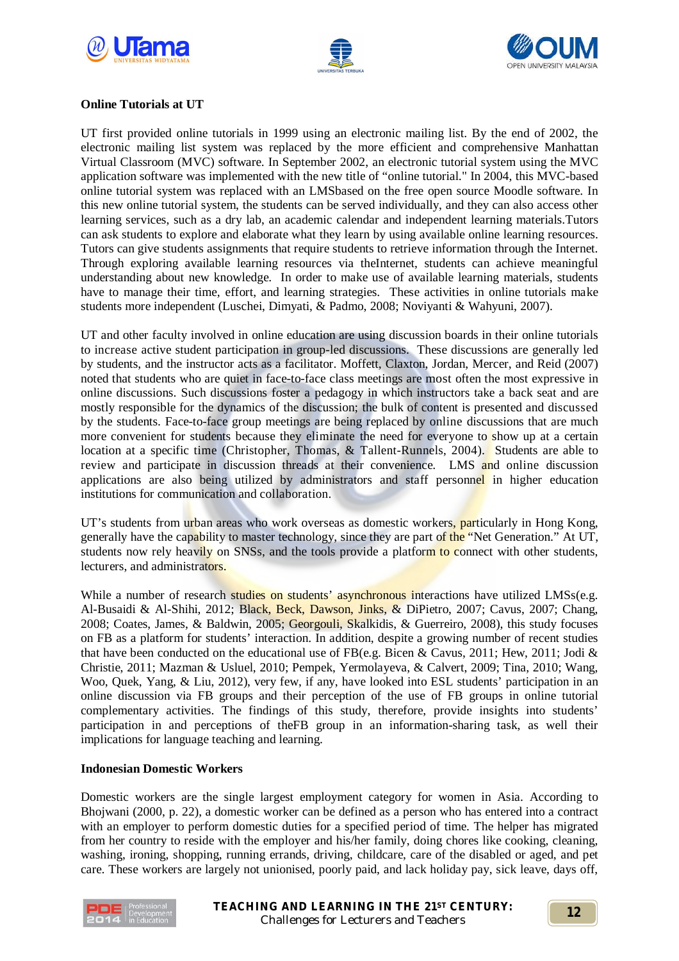





# **Online Tutorials at UT**

UT first provided online tutorials in 1999 using an electronic mailing list. By the end of 2002, the electronic mailing list system was replaced by the more efficient and comprehensive Manhattan Virtual Classroom (MVC) software. In September 2002, an electronic tutorial system using the MVC application software was implemented with the new title of "online tutorial." In 2004, this MVC-based online tutorial system was replaced with an LMSbased on the free open source Moodle software. In this new online tutorial system, the students can be served individually, and they can also access other learning services, such as a dry lab, an academic calendar and independent learning materials.Tutors can ask students to explore and elaborate what they learn by using available online learning resources. Tutors can give students assignments that require students to retrieve information through the Internet. Through exploring available learning resources via theInternet, students can achieve meaningful understanding about new knowledge. In order to make use of available learning materials, students have to manage their time, effort, and learning strategies. These activities in online tutorials make students more independent (Luschei, Dimyati, & Padmo, 2008; Noviyanti & Wahyuni, 2007).

UT and other faculty involved in online education are using discussion boards in their online tutorials to increase active student participation in group-led discussions. These discussions are generally led by students, and the instructor acts as a facilitator. Moffett, Claxton, Jordan, Mercer, and Reid (2007) noted that students who are quiet in face-to-face class meetings are most often the most expressive in online discussions. Such discussions foster a pedagogy in which instructors take a back seat and are mostly responsible for the dynamics of the discussion; the bulk of content is presented and discussed by the students. Face-to-face group meetings are being replaced by online discussions that are much more convenient for students because they eliminate the need for everyone to show up at a certain location at a specific time (Christopher, Thomas, & Tallent-Runnels, 2004). Students are able to review and participate in discussion threads at their convenience. LMS and online discussion applications are also being utilized by administrators and staff personnel in higher education institutions for communication and collaboration.

UT's students from urban areas who work overseas as domestic workers, particularly in Hong Kong, generally have the capability to master technology, since they are part of the "Net Generation." At UT, students now rely heavily on SNSs, and the tools provide a platform to connect with other students, lecturers, and administrators.

While a number of research studies on students' asynchronous interactions have utilized LMSs(e.g. Al-Busaidi & Al-Shihi, 2012; Black, Beck, Dawson, Jinks, & DiPietro, 2007; Cavus, 2007; Chang, 2008; Coates, James, & Baldwin, 2005; Georgouli, Skalkidis, & Guerreiro, 2008), this study focuses on FB as a platform for students' interaction. In addition, despite a growing number of recent studies that have been conducted on the educational use of FB(e.g. Bicen & Cavus, 2011; Hew, 2011; Jodi & Christie, 2011; Mazman & Usluel, 2010; Pempek, Yermolayeva, & Calvert, 2009; Tina, 2010; Wang, Woo, Quek, Yang, & Liu, 2012), very few, if any, have looked into ESL students' participation in an online discussion via FB groups and their perception of the use of FB groups in online tutorial complementary activities. The findings of this study, therefore, provide insights into students' participation in and perceptions of theFB group in an information-sharing task, as well their implications for language teaching and learning.

## **Indonesian Domestic Workers**

Domestic workers are the single largest employment category for women in Asia. According to Bhojwani (2000, p. 22), a domestic worker can be defined as a person who has entered into a contract with an employer to perform domestic duties for a specified period of time. The helper has migrated from her country to reside with the employer and his/her family, doing chores like cooking, cleaning, washing, ironing, shopping, running errands, driving, childcare, care of the disabled or aged, and pet care. These workers are largely not unionised, poorly paid, and lack holiday pay, sick leave, days off,

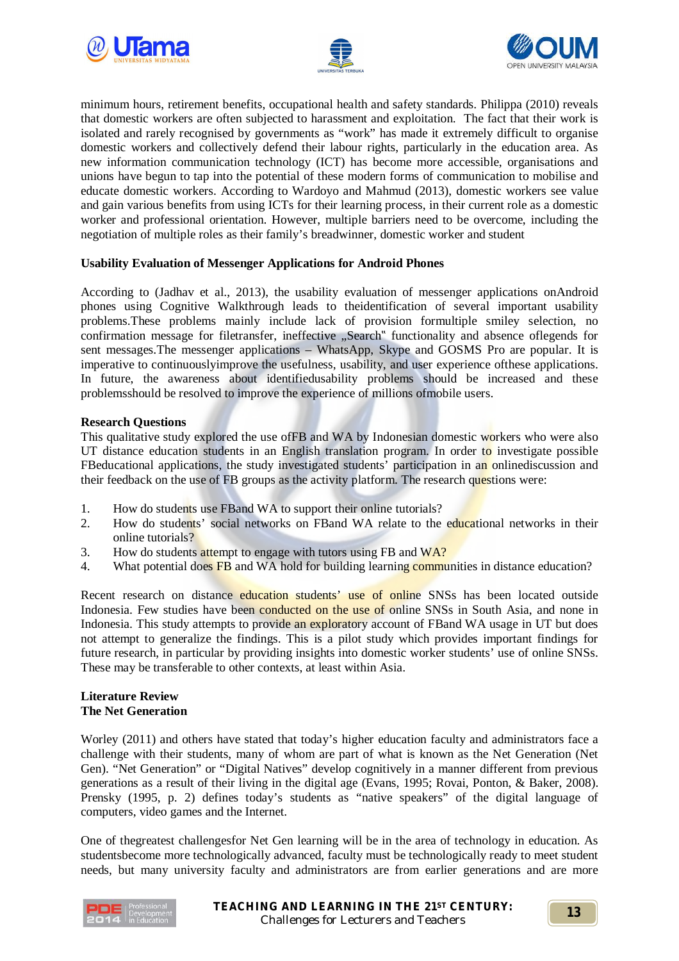





minimum hours, retirement benefits, occupational health and safety standards. Philippa (2010) reveals that domestic workers are often subjected to harassment and exploitation. The fact that their work is isolated and rarely recognised by governments as "work" has made it extremely difficult to organise domestic workers and collectively defend their labour rights, particularly in the education area. As new information communication technology (ICT) has become more accessible, organisations and unions have begun to tap into the potential of these modern forms of communication to mobilise and educate domestic workers. According to Wardoyo and Mahmud (2013), domestic workers see value and gain various benefits from using ICTs for their learning process, in their current role as a domestic worker and professional orientation. However, multiple barriers need to be overcome, including the negotiation of multiple roles as their family's breadwinner, domestic worker and student

## **Usability Evaluation of Messenger Applications for Android Phones**

According to (Jadhav et al., 2013), the usability evaluation of messenger applications onAndroid phones using Cognitive Walkthrough leads to theidentification of several important usability problems.These problems mainly include lack of provision formultiple smiley selection, no confirmation message for filetransfer, ineffective "Search" functionality and absence of legends for sent messages.The messenger applications – WhatsApp, Skype and GOSMS Pro are popular. It is imperative to continuouslyimprove the usefulness, usability, and user experience ofthese applications. In future, the awareness about identifiedusability problems should be increased and these problemsshould be resolved to improve the experience of millions ofmobile users.

## **Research Questions**

This qualitative study explored the use of FB and WA by Indonesian domestic workers who were also UT distance education students in an English translation program. In order to investigate possible FBeducational applications, the study investigated students' participation in an onlinediscussion and their feedback on the use of FB groups as the activity platform. The research questions were:

- 1. How do students use FBand WA to support their online tutorials?
- 2. How do students' social networks on FBand WA relate to the educational networks in their online tutorials?
- 3. How do students attempt to engage with tutors using FB and WA?
- 4. What potential does FB and WA hold for building learning communities in distance education?

Recent research on distance education students' use of online SNSs has been located outside Indonesia. Few studies have been conducted on the use of online SNSs in South Asia, and none in Indonesia. This study attempts to provide an exploratory account of FBand WA usage in UT but does not attempt to generalize the findings. This is a pilot study which provides important findings for future research, in particular by providing insights into domestic worker students' use of online SNSs. These may be transferable to other contexts, at least within Asia.

## **Literature Review The Net Generation**

Worley (2011) and others have stated that today's higher education faculty and administrators face a challenge with their students, many of whom are part of what is known as the Net Generation (Net Gen). "Net Generation" or "Digital Natives" develop cognitively in a manner different from previous generations as a result of their living in the digital age (Evans, 1995; Rovai, Ponton, & Baker, 2008). Prensky (1995, p. 2) defines today's students as "native speakers" of the digital language of computers, video games and the Internet.

One of thegreatest challengesfor Net Gen learning will be in the area of technology in education. As studentsbecome more technologically advanced, faculty must be technologically ready to meet student needs, but many university faculty and administrators are from earlier generations and are more

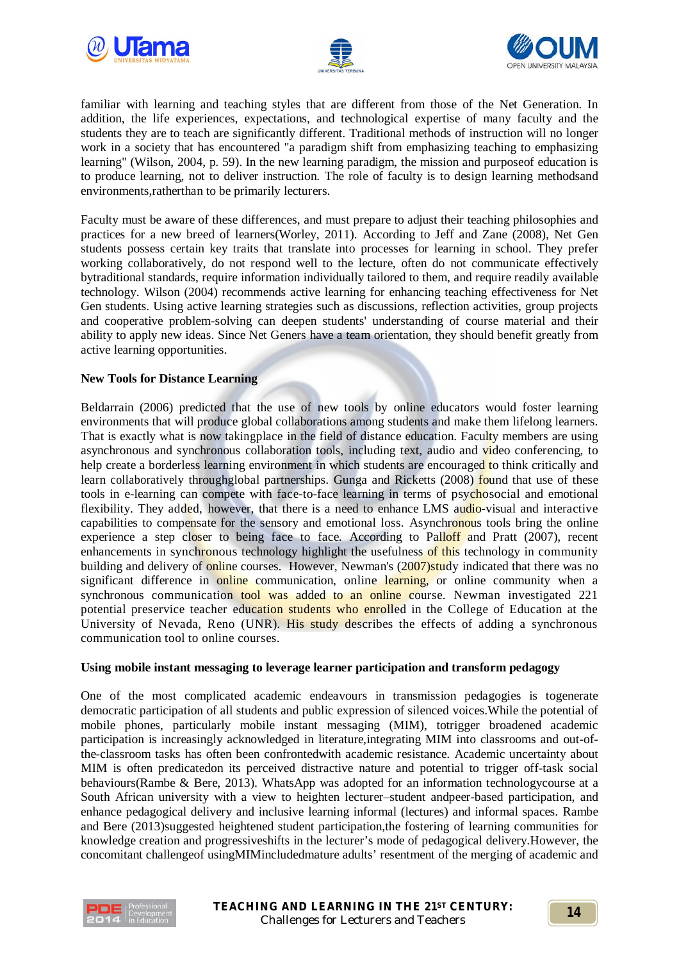





familiar with learning and teaching styles that are different from those of the Net Generation. In addition, the life experiences, expectations, and technological expertise of many faculty and the students they are to teach are significantly different. Traditional methods of instruction will no longer work in a society that has encountered "a paradigm shift from emphasizing teaching to emphasizing learning" (Wilson, 2004, p. 59). In the new learning paradigm, the mission and purposeof education is to produce learning, not to deliver instruction. The role of faculty is to design learning methodsand environments,ratherthan to be primarily lecturers.

Faculty must be aware of these differences, and must prepare to adjust their teaching philosophies and practices for a new breed of learners(Worley, 2011). According to Jeff and Zane (2008), Net Gen students possess certain key traits that translate into processes for learning in school. They prefer working collaboratively, do not respond well to the lecture, often do not communicate effectively bytraditional standards, require information individually tailored to them, and require readily available technology. Wilson (2004) recommends active learning for enhancing teaching effectiveness for Net Gen students. Using active learning strategies such as discussions, reflection activities, group projects and cooperative problem-solving can deepen students' understanding of course material and their ability to apply new ideas. Since Net Geners have a team orientation, they should benefit greatly from active learning opportunities.

## **New Tools for Distance Learning**

Beldarrain (2006) predicted that the use of new tools by online educators would foster learning environments that will produce global collaborations among students and make them lifelong learners. That is exactly what is now takingplace in the field of distance education. Faculty members are using asynchronous and synchronous collaboration tools, including text, audio and video conferencing, to help create a borderless learning environment in which students are encouraged to think critically and learn collaboratively throughglobal partnerships. Gunga and Ricketts (2008) found that use of these tools in e-learning can compete with face-to-face learning in terms of psychosocial and emotional flexibility. They added, however, that there is a need to enhance LMS audio-visual and interactive capabilities to compensate for the sensory and emotional loss. Asynchronous tools bring the online experience a step closer to being face to face. According to Palloff and Pratt (2007), recent enhancements in synchronous technology highlight the usefulness of this technology in community building and delivery of online courses. However, Newman's (2007)study indicated that there was no significant difference in online communication, online learning, or online community when a synchronous communication tool was added to an online course. Newman investigated 221 potential preservice teacher education students who enrolled in the College of Education at the University of Nevada, Reno (UNR). His study describes the effects of adding a synchronous communication tool to online courses.

## **Using mobile instant messaging to leverage learner participation and transform pedagogy**

One of the most complicated academic endeavours in transmission pedagogies is togenerate democratic participation of all students and public expression of silenced voices.While the potential of mobile phones, particularly mobile instant messaging (MIM), totrigger broadened academic participation is increasingly acknowledged in literature,integrating MIM into classrooms and out-ofthe-classroom tasks has often been confrontedwith academic resistance. Academic uncertainty about MIM is often predicatedon its perceived distractive nature and potential to trigger off-task social behaviours(Rambe & Bere, 2013). WhatsApp was adopted for an information technologycourse at a South African university with a view to heighten lecturer–student andpeer-based participation, and enhance pedagogical delivery and inclusive learning informal (lectures) and informal spaces. Rambe and Bere (2013)suggested heightened student participation,the fostering of learning communities for knowledge creation and progressiveshifts in the lecturer's mode of pedagogical delivery.However, the concomitant challengeof usingMIMincludedmature adults' resentment of the merging of academic and

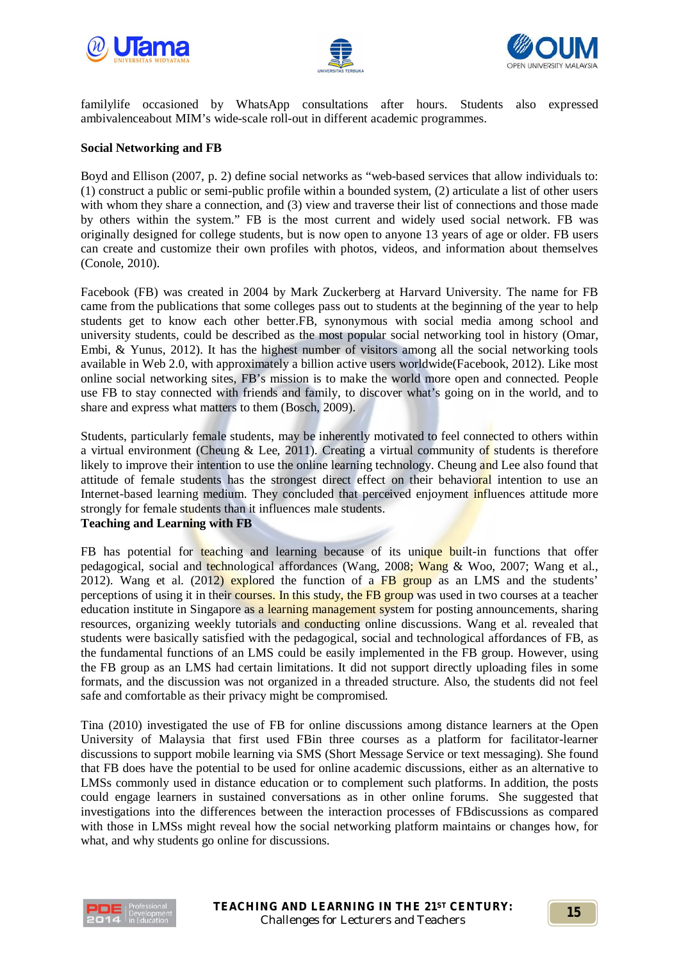





familylife occasioned by WhatsApp consultations after hours. Students also expressed ambivalenceabout MIM's wide-scale roll-out in different academic programmes.

## **Social Networking and FB**

Boyd and Ellison (2007, p. 2) define social networks as "web-based services that allow individuals to: (1) construct a public or semi-public profile within a bounded system, (2) articulate a list of other users with whom they share a connection, and (3) view and traverse their list of connections and those made by others within the system." FB is the most current and widely used social network. FB was originally designed for college students, but is now open to anyone 13 years of age or older. FB users can create and customize their own profiles with photos, videos, and information about themselves (Conole, 2010).

Facebook (FB) was created in 2004 by Mark Zuckerberg at Harvard University. The name for FB came from the publications that some colleges pass out to students at the beginning of the year to help students get to know each other better.FB, synonymous with social media among school and university students, could be described as the most popular social networking tool in history (Omar, Embi, & Yunus, 2012). It has the highest number of visitors among all the social networking tools available in Web 2.0, with approximately a billion active users worldwide(Facebook, 2012). Like most online social networking sites, FB's mission is to make the world more open and connected. People use FB to stay connected with friends and family, to discover what's going on in the world, and to share and express what matters to them (Bosch, 2009).

Students, particularly female students, may be inherently motivated to feel connected to others within a virtual environment (Cheung & Lee, 2011). Creating a virtual community of students is therefore likely to improve their intention to use the online learning technology. Cheung and Lee also found that attitude of female students has the strongest direct effect on their behavioral intention to use an Internet-based learning medium. They concluded that perceived enjoyment influences attitude more strongly for female students than it influences male students. **Teaching and Learning with FB**

FB has potential for teaching and learning because of its unique built-in functions that offer pedagogical, social and technological affordances (Wang, 2008; Wang & Woo, 2007; Wang et al., 2012). Wang et al. (2012) explored the function of a FB group as an LMS and the students' perceptions of using it in their courses. In this study, the FB group was used in two courses at a teacher education institute in Singapore as a learning management system for posting announcements, sharing resources, organizing weekly tutorials and conducting online discussions. Wang et al. revealed that students were basically satisfied with the pedagogical, social and technological affordances of FB, as the fundamental functions of an LMS could be easily implemented in the FB group. However, using the FB group as an LMS had certain limitations. It did not support directly uploading files in some formats, and the discussion was not organized in a threaded structure. Also, the students did not feel safe and comfortable as their privacy might be compromised.

Tina (2010) investigated the use of FB for online discussions among distance learners at the Open University of Malaysia that first used FBin three courses as a platform for facilitator-learner discussions to support mobile learning via SMS (Short Message Service or text messaging). She found that FB does have the potential to be used for online academic discussions, either as an alternative to LMSs commonly used in distance education or to complement such platforms. In addition, the posts could engage learners in sustained conversations as in other online forums. She suggested that investigations into the differences between the interaction processes of FBdiscussions as compared with those in LMSs might reveal how the social networking platform maintains or changes how, for what, and why students go online for discussions.

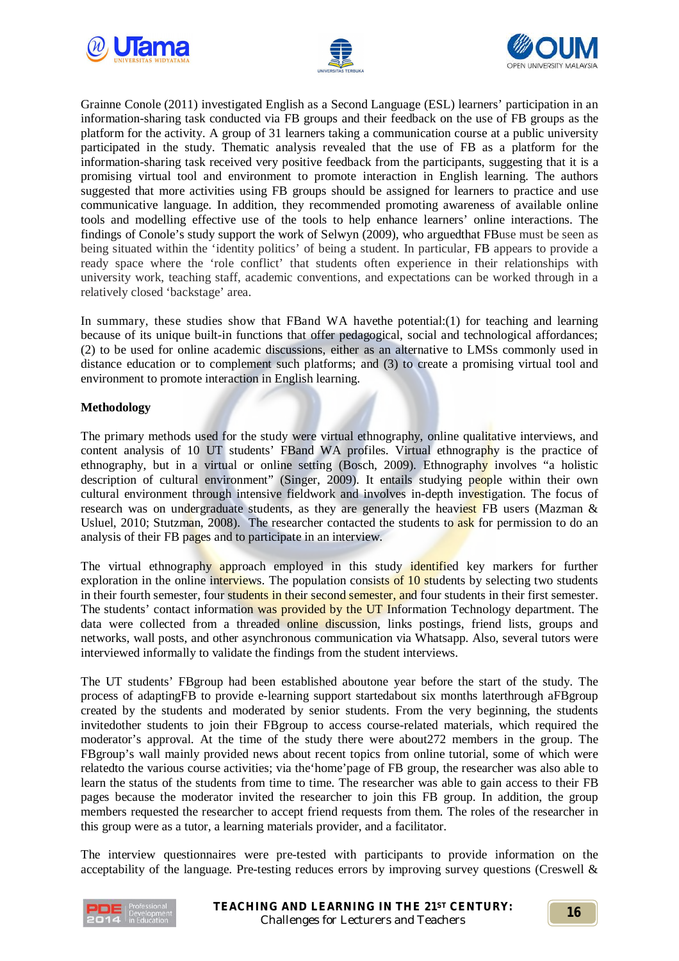





Grainne Conole (2011) investigated English as a Second Language (ESL) learners' participation in an information-sharing task conducted via FB groups and their feedback on the use of FB groups as the platform for the activity. A group of 31 learners taking a communication course at a public university participated in the study. Thematic analysis revealed that the use of FB as a platform for the information-sharing task received very positive feedback from the participants, suggesting that it is a promising virtual tool and environment to promote interaction in English learning. The authors suggested that more activities using FB groups should be assigned for learners to practice and use communicative language. In addition, they recommended promoting awareness of available online tools and modelling effective use of the tools to help enhance learners' online interactions. The findings of Conole's study support the work of Selwyn (2009), who arguedthat FBuse must be seen as being situated within the 'identity politics' of being a student. In particular, FB appears to provide a ready space where the 'role conflict' that students often experience in their relationships with university work, teaching staff, academic conventions, and expectations can be worked through in a relatively closed 'backstage' area.

In summary, these studies show that FBand WA havethe potential:(1) for teaching and learning because of its unique built-in functions that offer pedagogical, social and technological affordances; (2) to be used for online academic discussions, either as an alternative to LMSs commonly used in distance education or to complement such platforms; and (3) to create a promising virtual tool and environment to promote interaction in English learning.

# **Methodology**

The primary methods used for the study were virtual ethnography, online qualitative interviews, and content analysis of 10 UT students' FBand WA profiles. Virtual ethnography is the practice of ethnography, but in a virtual or online setting (Bosch, 2009). Ethnography involves "a holistic description of cultural environment" (Singer, 2009). It entails studying people within their own cultural environment through intensive fieldwork and involves in-depth investigation. The focus of research was on undergraduate students, as they are generally the heaviest FB users (Mazman  $\&$ Usluel,  $2010$ ; Stutzman,  $2008$ ). The researcher contacted the students to ask for permission to do an analysis of their FB pages and to participate in an interview.

The virtual ethnography approach employed in this study identified key markers for further exploration in the online interviews. The population consists of 10 students by selecting two students in their fourth semester, four students in their second semester, and four students in their first semester. The students' contact information was provided by the UT Information Technology department. The data were collected from a threaded online discussion, links postings, friend lists, groups and networks, wall posts, and other asynchronous communication via Whatsapp. Also, several tutors were interviewed informally to validate the findings from the student interviews.

The UT students' FBgroup had been established aboutone year before the start of the study. The process of adaptingFB to provide e-learning support startedabout six months laterthrough aFBgroup created by the students and moderated by senior students. From the very beginning, the students invitedother students to join their FBgroup to access course-related materials, which required the moderator's approval. At the time of the study there were about272 members in the group. The FBgroup's wall mainly provided news about recent topics from online tutorial, some of which were relatedto the various course activities; via the'home'page of FB group, the researcher was also able to learn the status of the students from time to time. The researcher was able to gain access to their FB pages because the moderator invited the researcher to join this FB group. In addition, the group members requested the researcher to accept friend requests from them. The roles of the researcher in this group were as a tutor, a learning materials provider, and a facilitator.

The interview questionnaires were pre-tested with participants to provide information on the acceptability of the language. Pre-testing reduces errors by improving survey questions (Creswell &

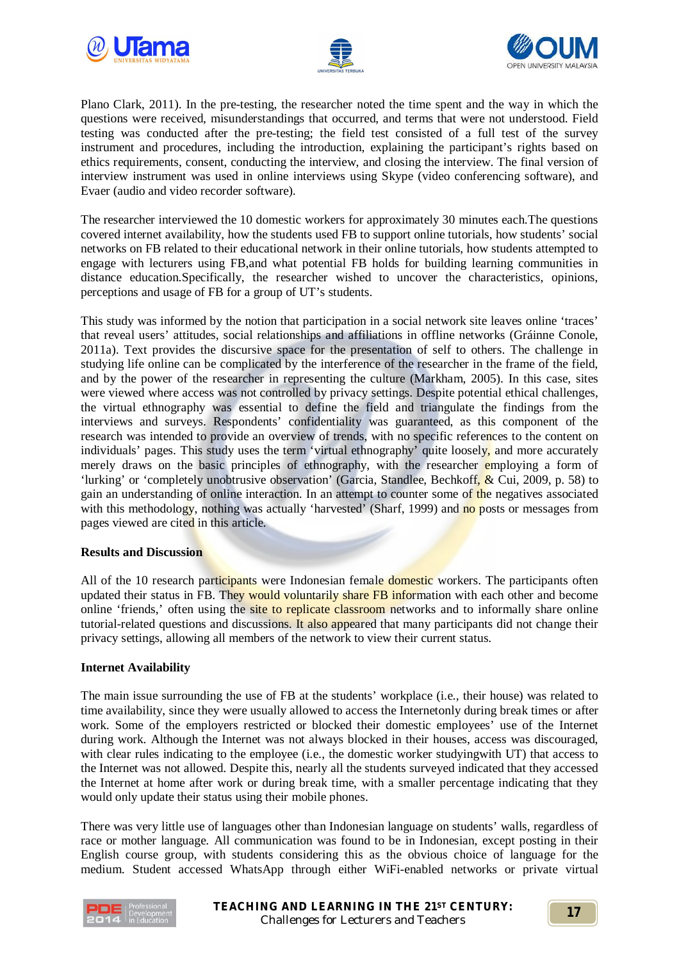





Plano Clark, 2011). In the pre-testing, the researcher noted the time spent and the way in which the questions were received, misunderstandings that occurred, and terms that were not understood. Field testing was conducted after the pre-testing; the field test consisted of a full test of the survey instrument and procedures, including the introduction, explaining the participant's rights based on ethics requirements, consent, conducting the interview, and closing the interview. The final version of interview instrument was used in online interviews using Skype (video conferencing software), and Evaer (audio and video recorder software).

The researcher interviewed the 10 domestic workers for approximately 30 minutes each.The questions covered internet availability, how the students used FB to support online tutorials, how students' social networks on FB related to their educational network in their online tutorials, how students attempted to engage with lecturers using FB,and what potential FB holds for building learning communities in distance education.Specifically, the researcher wished to uncover the characteristics, opinions, perceptions and usage of FB for a group of UT's students.

This study was informed by the notion that participation in a social network site leaves online 'traces' that reveal users' attitudes, social relationships and affiliations in offline networks (Gráinne Conole, 2011a). Text provides the discursive space for the presentation of self to others. The challenge in studying life online can be complicated by the interference of the researcher in the frame of the field, and by the power of the researcher in representing the culture (Markham, 2005). In this case, sites were viewed where access was not controlled by privacy settings. Despite potential ethical challenges, the virtual ethnography was essential to define the field and triangulate the findings from the interviews and surveys. Respondents' confidentiality was guaranteed, as this component of the research was intended to provide an overview of trends, with no specific references to the content on individuals' pages. This study uses the term 'virtual ethnography' quite loosely, and more accurately merely draws on the basic principles of ethnography, with the researcher employing a form of 'lurking' or 'completely unobtrusive observation' (Garcia, Standlee, Bechkoff, & Cui, 2009, p. 58) to gain an understanding of online interaction. In an attempt to counter some of the negatives associated with this methodology, nothing was actually 'harvested' (Sharf, 1999) and no posts or messages from pages viewed are cited in this article.

## **Results and Discussion**

All of the 10 research participants were Indonesian female domestic workers. The participants often updated their status in FB. They would voluntarily share FB information with each other and become online 'friends,' often using the site to replicate classroom networks and to informally share online tutorial-related questions and discussions. It also appeared that many participants did not change their privacy settings, allowing all members of the network to view their current status.

## **Internet Availability**

The main issue surrounding the use of FB at the students' workplace (i.e., their house) was related to time availability, since they were usually allowed to access the Internetonly during break times or after work. Some of the employers restricted or blocked their domestic employees' use of the Internet during work. Although the Internet was not always blocked in their houses, access was discouraged, with clear rules indicating to the employee (i.e., the domestic worker studyingwith UT) that access to the Internet was not allowed. Despite this, nearly all the students surveyed indicated that they accessed the Internet at home after work or during break time, with a smaller percentage indicating that they would only update their status using their mobile phones.

There was very little use of languages other than Indonesian language on students' walls, regardless of race or mother language. All communication was found to be in Indonesian, except posting in their English course group, with students considering this as the obvious choice of language for the medium. Student accessed WhatsApp through either WiFi-enabled networks or private virtual

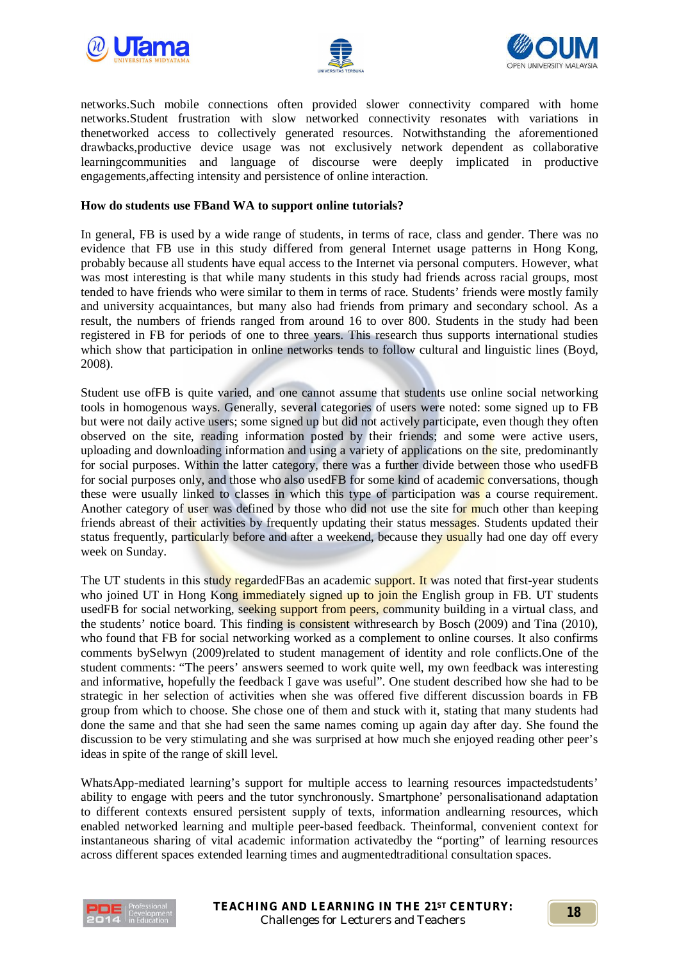





networks.Such mobile connections often provided slower connectivity compared with home networks.Student frustration with slow networked connectivity resonates with variations in thenetworked access to collectively generated resources. Notwithstanding the aforementioned drawbacks,productive device usage was not exclusively network dependent as collaborative learningcommunities and language of discourse were deeply implicated in productive engagements,affecting intensity and persistence of online interaction.

#### **How do students use FBand WA to support online tutorials?**

In general, FB is used by a wide range of students, in terms of race, class and gender. There was no evidence that FB use in this study differed from general Internet usage patterns in Hong Kong, probably because all students have equal access to the Internet via personal computers. However, what was most interesting is that while many students in this study had friends across racial groups, most tended to have friends who were similar to them in terms of race. Students' friends were mostly family and university acquaintances, but many also had friends from primary and secondary school. As a result, the numbers of friends ranged from around 16 to over 800. Students in the study had been registered in FB for periods of one to three years. This research thus supports international studies which show that participation in online networks tends to follow cultural and linguistic lines (Boyd, 2008).

Student use ofFB is quite varied, and one cannot assume that students use online social networking tools in homogenous ways. Generally, several categories of users were noted: some signed up to FB but were not daily active users; some signed up but did not actively participate, even though they often observed on the site, reading information posted by their friends; and some were active users, uploading and downloading information and using a variety of applications on the site, predominantly for social purposes. Within the latter category, there was a further divide between those who usedFB for social purposes only, and those who also usedFB for some kind of academic conversations, though these were usually linked to classes in which this type of participation was a course requirement. Another category of user was defined by those who did not use the site for much other than keeping friends abreast of their activities by frequently updating their status messages. Students updated their status frequently, particularly before and after a weekend, because they usually had one day off every week on Sunday.

The UT students in this study regardedFBas an academic support. It was noted that first-year students who joined UT in Hong Kong immediately signed up to join the English group in FB. UT students usedFB for social networking, seeking support from peers, community building in a virtual class, and the students' notice board. This finding is consistent withresearch by Bosch (2009) and Tina (2010), who found that FB for social networking worked as a complement to online courses. It also confirms comments bySelwyn (2009)related to student management of identity and role conflicts.One of the student comments: "The peers' answers seemed to work quite well, my own feedback was interesting and informative, hopefully the feedback I gave was useful". One student described how she had to be strategic in her selection of activities when she was offered five different discussion boards in FB group from which to choose. She chose one of them and stuck with it, stating that many students had done the same and that she had seen the same names coming up again day after day. She found the discussion to be very stimulating and she was surprised at how much she enjoyed reading other peer's ideas in spite of the range of skill level.

WhatsApp-mediated learning's support for multiple access to learning resources impactedstudents' ability to engage with peers and the tutor synchronously. Smartphone' personalisationand adaptation to different contexts ensured persistent supply of texts, information andlearning resources, which enabled networked learning and multiple peer-based feedback. Theinformal, convenient context for instantaneous sharing of vital academic information activatedby the "porting" of learning resources across different spaces extended learning times and augmentedtraditional consultation spaces.

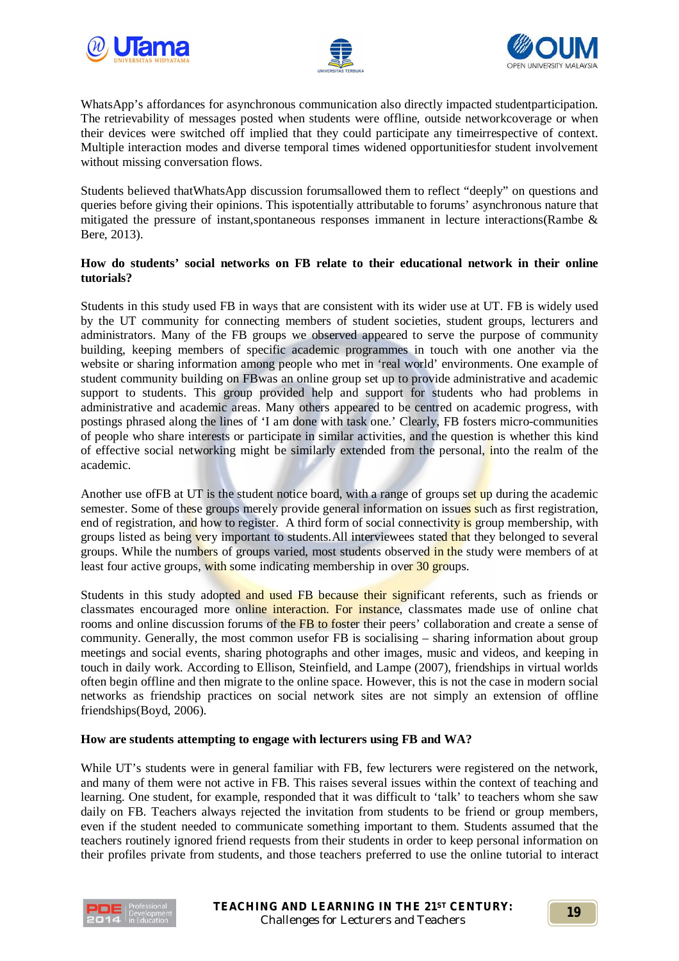





WhatsApp's affordances for asynchronous communication also directly impacted studentparticipation. The retrievability of messages posted when students were offline, outside networkcoverage or when their devices were switched off implied that they could participate any timeirrespective of context. Multiple interaction modes and diverse temporal times widened opportunitiesfor student involvement without missing conversation flows.

Students believed thatWhatsApp discussion forumsallowed them to reflect "deeply" on questions and queries before giving their opinions. This ispotentially attributable to forums' asynchronous nature that mitigated the pressure of instant,spontaneous responses immanent in lecture interactions(Rambe & Bere, 2013).

## **How do students' social networks on FB relate to their educational network in their online tutorials?**

Students in this study used FB in ways that are consistent with its wider use at UT. FB is widely used by the UT community for connecting members of student societies, student groups, lecturers and administrators. Many of the FB groups we observed appeared to serve the purpose of community building, keeping members of specific academic programmes in touch with one another via the website or sharing information among people who met in 'real world' environments. One example of student community building on FBwas an online group set up to provide administrative and academic support to students. This group provided help and support for students who had problems in administrative and academic areas. Many others appeared to be centred on academic progress, with postings phrased along the lines of 'I am done with task one.' Clearly, FB fosters micro-communities of people who share interests or participate in similar activities, and the question is whether this kind of effective social networking might be similarly extended from the personal, into the realm of the academic.

Another use of FB at UT is the student notice board, with a range of groups set up during the academic semester. Some of these groups merely provide general information on issues such as first registration, end of registration, and how to register. A third form of social connectivity is group membership, with groups listed as being very important to students. All interviewees stated that they belonged to several groups. While the numbers of groups varied, most students observed in the study were members of at least four active groups, with some indicating membership in over 30 groups.

Students in this study adopted and used FB because their significant referents, such as friends or classmates encouraged more online interaction. For instance, classmates made use of online chat rooms and online discussion forums of the FB to foster their peers' collaboration and create a sense of community. Generally, the most common usefor FB is socialising – sharing information about group meetings and social events, sharing photographs and other images, music and videos, and keeping in touch in daily work. According to Ellison, Steinfield, and Lampe (2007), friendships in virtual worlds often begin offline and then migrate to the online space. However, this is not the case in modern social networks as friendship practices on social network sites are not simply an extension of offline friendships(Boyd, 2006).

## **How are students attempting to engage with lecturers using FB and WA?**

While UT's students were in general familiar with FB, few lecturers were registered on the network, and many of them were not active in FB. This raises several issues within the context of teaching and learning. One student, for example, responded that it was difficult to 'talk' to teachers whom she saw daily on FB. Teachers always rejected the invitation from students to be friend or group members, even if the student needed to communicate something important to them. Students assumed that the teachers routinely ignored friend requests from their students in order to keep personal information on their profiles private from students, and those teachers preferred to use the online tutorial to interact

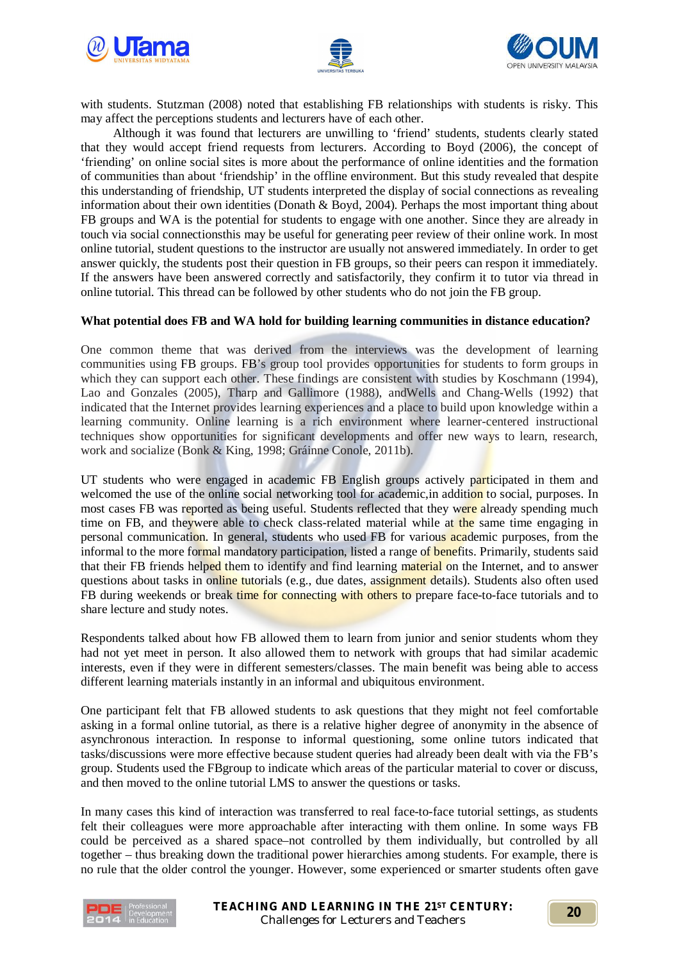





with students. Stutzman (2008) noted that establishing FB relationships with students is risky. This may affect the perceptions students and lecturers have of each other.

Although it was found that lecturers are unwilling to 'friend' students, students clearly stated that they would accept friend requests from lecturers. According to Boyd (2006), the concept of 'friending' on online social sites is more about the performance of online identities and the formation of communities than about 'friendship' in the offline environment. But this study revealed that despite this understanding of friendship, UT students interpreted the display of social connections as revealing information about their own identities (Donath & Boyd, 2004). Perhaps the most important thing about FB groups and WA is the potential for students to engage with one another. Since they are already in touch via social connectionsthis may be useful for generating peer review of their online work. In most online tutorial, student questions to the instructor are usually not answered immediately. In order to get answer quickly, the students post their question in FB groups, so their peers can respon it immediately. If the answers have been answered correctly and satisfactorily, they confirm it to tutor via thread in online tutorial. This thread can be followed by other students who do not join the FB group.

#### **What potential does FB and WA hold for building learning communities in distance education?**

One common theme that was derived from the interviews was the development of learning communities using FB groups. FB's group tool provides opportunities for students to form groups in which they can support each other. These findings are consistent with studies by Koschmann (1994), Lao and Gonzales (2005), Tharp and Gallimore (1988), andWells and Chang-Wells (1992) that indicated that the Internet provides learning experiences and a place to build upon knowledge within a learning community. Online learning is a rich environment where learner-centered instructional techniques show opportunities for significant developments and offer new ways to learn, research, work and socialize (Bonk & King, 1998; Gráinne Conole, 2011b).

UT students who were engaged in academic FB English groups actively participated in them and welcomed the use of the online social networking tool for academic, in addition to social, purposes. In most cases FB was reported as being useful. Students reflected that they were already spending much time on FB, and theywere able to check class-related material while at the same time engaging in personal communication. In general, students who used FB for various academic purposes, from the informal to the more formal mandatory participation, listed a range of benefits. Primarily, students said that their FB friends helped them to identify and find learning material on the Internet, and to answer questions about tasks in online tutorials (e.g., due dates, assignment details). Students also often used FB during weekends or break time for connecting with others to prepare face-to-face tutorials and to share lecture and study notes.

Respondents talked about how FB allowed them to learn from junior and senior students whom they had not yet meet in person. It also allowed them to network with groups that had similar academic interests, even if they were in different semesters/classes. The main benefit was being able to access different learning materials instantly in an informal and ubiquitous environment.

One participant felt that FB allowed students to ask questions that they might not feel comfortable asking in a formal online tutorial, as there is a relative higher degree of anonymity in the absence of asynchronous interaction. In response to informal questioning, some online tutors indicated that tasks/discussions were more effective because student queries had already been dealt with via the FB's group. Students used the FBgroup to indicate which areas of the particular material to cover or discuss, and then moved to the online tutorial LMS to answer the questions or tasks.

In many cases this kind of interaction was transferred to real face-to-face tutorial settings, as students felt their colleagues were more approachable after interacting with them online. In some ways FB could be perceived as a shared space–not controlled by them individually, but controlled by all together – thus breaking down the traditional power hierarchies among students. For example, there is no rule that the older control the younger. However, some experienced or smarter students often gave

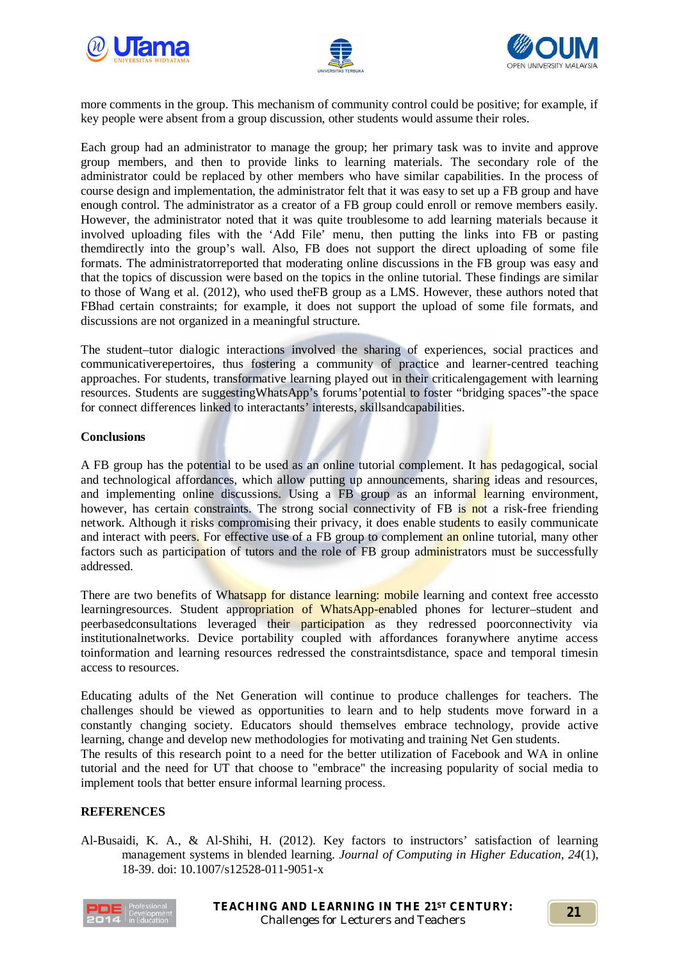





more comments in the group. This mechanism of community control could be positive; for example, if key people were absent from a group discussion, other students would assume their roles.

Each group had an administrator to manage the group; her primary task was to invite and approve group members, and then to provide links to learning materials. The secondary role of the administrator could be replaced by other members who have similar capabilities. In the process of course design and implementation, the administrator felt that it was easy to set up a FB group and have enough control. The administrator as a creator of a FB group could enroll or remove members easily. However, the administrator noted that it was quite troublesome to add learning materials because it involved uploading files with the 'Add File' menu, then putting the links into FB or pasting themdirectly into the group's wall. Also, FB does not support the direct uploading of some file formats. The administratorreported that moderating online discussions in the FB group was easy and that the topics of discussion were based on the topics in the online tutorial. These findings are similar to those of Wang et al. (2012), who used theFB group as a LMS. However, these authors noted that FBhad certain constraints; for example, it does not support the upload of some file formats, and discussions are not organized in a meaningful structure.

The student–tutor dialogic interactions involved the sharing of experiences, social practices and communicativerepertoires, thus fostering a community of practice and learner-centred teaching approaches. For students, transformative learning played out in their criticalengagement with learning resources. Students are suggestingWhatsApp's forums'potential to foster "bridging spaces"-the space for connect differences linked to interactants' interests, skillsandcapabilities.

#### **Conclusions**

A FB group has the potential to be used as an online tutorial complement. It has pedagogical, social and technological affordances, which allow putting up announcements, sharing ideas and resources, and implementing online discussions. Using a FB group as an informal learning environment, however, has certain constraints. The strong social connectivity of FB is not a risk-free friending network. Although it risks compromising their privacy, it does enable students to easily communicate and interact with peers. For effective use of a FB group to complement an online tutorial, many other factors such as participation of tutors and the role of FB group administrators must be successfully addressed.

There are two benefits of Whatsapp for distance learning: mobile learning and context free access to learningresources. Student appropriation of WhatsApp-enabled phones for lecturer–student and peerbasedconsultations leveraged their participation as they redressed poorconnectivity via institutionalnetworks. Device portability coupled with affordances foranywhere anytime access toinformation and learning resources redressed the constraintsdistance, space and temporal timesin access to resources.

Educating adults of the Net Generation will continue to produce challenges for teachers. The challenges should be viewed as opportunities to learn and to help students move forward in a constantly changing society. Educators should themselves embrace technology, provide active learning, change and develop new methodologies for motivating and training Net Gen students.

The results of this research point to a need for the better utilization of Facebook and WA in online tutorial and the need for UT that choose to "embrace" the increasing popularity of social media to implement tools that better ensure informal learning process.

## **REFERENCES**

Al-Busaidi, K. A., & Al-Shihi, H. (2012). Key factors to instructors' satisfaction of learning management systems in blended learning. *Journal of Computing in Higher Education, 24*(1), 18-39. doi: 10.1007/s12528-011-9051-x

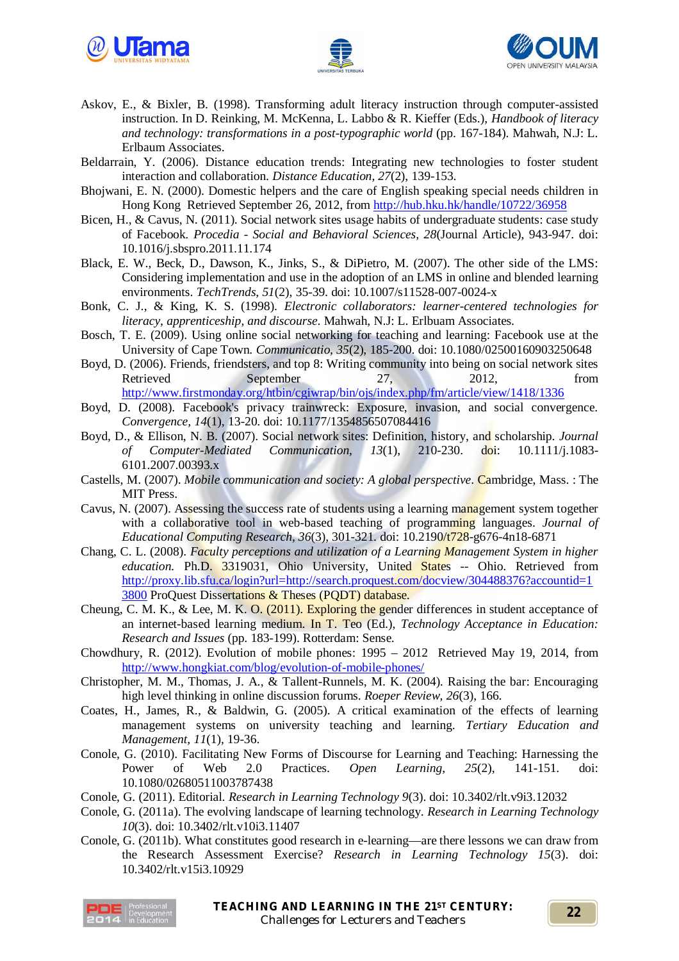





- Askov, E., & Bixler, B. (1998). Transforming adult literacy instruction through computer-assisted instruction. In D. Reinking, M. McKenna, L. Labbo & R. Kieffer (Eds.), *Handbook of literacy and technology: transformations in a post-typographic world* (pp. 167-184). Mahwah, N.J: L. Erlbaum Associates.
- Beldarrain, Y. (2006). Distance education trends: Integrating new technologies to foster student interaction and collaboration. *Distance Education, 27*(2), 139-153.
- Bhojwani, E. N. (2000). Domestic helpers and the care of English speaking special needs children in Hong Kong Retrieved September 26, 2012, from http://hub.hku.hk/handle/10722/36958
- Bicen, H., & Cavus, N. (2011). Social network sites usage habits of undergraduate students: case study of Facebook. *Procedia - Social and Behavioral Sciences, 28*(Journal Article), 943-947. doi: 10.1016/j.sbspro.2011.11.174
- Black, E. W., Beck, D., Dawson, K., Jinks, S., & DiPietro, M. (2007). The other side of the LMS: Considering implementation and use in the adoption of an LMS in online and blended learning environments. *TechTrends, 51*(2), 35-39. doi: 10.1007/s11528-007-0024-x
- Bonk, C. J., & King, K. S. (1998). *Electronic collaborators: learner-centered technologies for literacy, apprenticeship, and discourse*. Mahwah, N.J: L. Erlbuam Associates.
- Bosch, T. E. (2009). Using online social networking for teaching and learning: Facebook use at the University of Cape Town. *Communicatio, 35*(2), 185-200. doi: 10.1080/02500160903250648
- Boyd, D. (2006). Friends, friendsters, and top 8: Writing community into being on social network sites Retrieved September 27, 2012, from http://www.firstmonday.org/htbin/cgiwrap/bin/ojs/index.php/fm/article/view/1418/1336
- Boyd, D. (2008). Facebook's privacy trainwreck: Exposure, invasion, and social convergence. *Convergence, 14*(1), 13-20. doi: 10.1177/1354856507084416
- Boyd, D., & Ellison, N. B. (2007). Social network sites: Definition, history, and scholarship. *Journal of Computer-Mediated Communication, 13*(1), 210-230. doi: 10.1111/j.1083- 6101.2007.00393.x
- Castells, M. (2007). *Mobile communication and society: A global perspective*. Cambridge, Mass. : The MIT Press.
- Cavus, N. (2007). Assessing the success rate of students using a learning management system together with a collaborative tool in web-based teaching of programming languages. *Journal of Educational Computing Research, 36*(3), 301-321. doi: 10.2190/t728-g676-4n18-6871
- Chang, C. L. (2008). *Faculty perceptions and utilization of a Learning Management System in higher*  education. Ph.D. 3319031, Ohio University, United States -- Ohio. Retrieved from http://proxy.lib.sfu.ca/login?url=http://search.proquest.com/docview/304488376?accountid=1 3800 ProQuest Dissertations & Theses (PQDT) database.
- Cheung, C. M. K., & Lee, M. K. O. (2011). Exploring the gender differences in student acceptance of an internet-based learning medium. In T. Teo (Ed.), *Technology Acceptance in Education: Research and Issues* (pp. 183-199). Rotterdam: Sense.
- Chowdhury, R. (2012). Evolution of mobile phones: 1995 2012 Retrieved May 19, 2014, from http://www.hongkiat.com/blog/evolution-of-mobile-phones/
- Christopher, M. M., Thomas, J. A., & Tallent-Runnels, M. K. (2004). Raising the bar: Encouraging high level thinking in online discussion forums. *Roeper Review, 26*(3), 166.
- Coates, H., James, R., & Baldwin, G. (2005). A critical examination of the effects of learning management systems on university teaching and learning. *Tertiary Education and Management, 11*(1), 19-36.
- Conole, G. (2010). Facilitating New Forms of Discourse for Learning and Teaching: Harnessing the Power of Web 2.0 Practices. *Open Learning, 25*(2), 141-151. doi: 10.1080/02680511003787438
- Conole, G. (2011). Editorial. *Research in Learning Technology 9*(3). doi: 10.3402/rlt.v9i3.12032
- Conole, G. (2011a). The evolving landscape of learning technology. *Research in Learning Technology 10*(3). doi: 10.3402/rlt.v10i3.11407
- Conole, G. (2011b). What constitutes good research in e-learning—are there lessons we can draw from the Research Assessment Exercise? *Research in Learning Technology 15*(3). doi: 10.3402/rlt.v15i3.10929

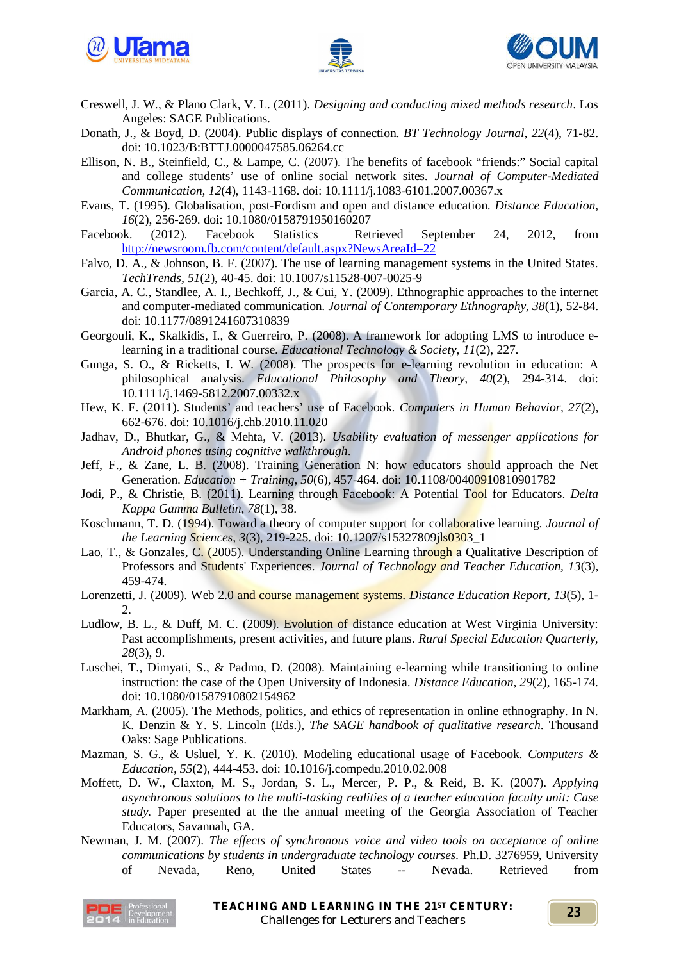





- Creswell, J. W., & Plano Clark, V. L. (2011). *Designing and conducting mixed methods research*. Los Angeles: SAGE Publications.
- Donath, J., & Boyd, D. (2004). Public displays of connection. *BT Technology Journal, 22*(4), 71-82. doi: 10.1023/B:BTTJ.0000047585.06264.cc
- Ellison, N. B., Steinfield, C., & Lampe, C. (2007). The benefits of facebook "friends:" Social capital and college students' use of online social network sites. *Journal of Computer-Mediated Communication, 12*(4), 1143-1168. doi: 10.1111/j.1083-6101.2007.00367.x
- Evans, T. (1995). Globalisation, post‐Fordism and open and distance education. *Distance Education, 16*(2), 256-269. doi: 10.1080/0158791950160207<br>k. (2012). Facebook Statistics Retrieved
- Facebook. (2012). Facebook Statistics Retrieved September 24, 2012, from http://newsroom.fb.com/content/default.aspx?NewsAreaId=22
- Falvo, D. A., & Johnson, B. F. (2007). The use of learning management systems in the United States. *TechTrends, 51*(2), 40-45. doi: 10.1007/s11528-007-0025-9
- Garcia, A. C., Standlee, A. I., Bechkoff, J., & Cui, Y. (2009). Ethnographic approaches to the internet and computer-mediated communication. *Journal of Contemporary Ethnography, 38*(1), 52-84. doi: 10.1177/0891241607310839
- Georgouli, K., Skalkidis, I., & Guerreiro, P. (2008). A framework for adopting LMS to introduce elearning in a traditional course. *Educational Technology & Society, 11*(2), 227.
- Gunga, S. O., & Ricketts, I. W. (2008). The prospects for e-learning revolution in education: A philosophical analysis. *Educational Philosophy and Theory, 40*(2), 294-314. doi: 10.1111/j.1469-5812.2007.00332.x
- Hew, K. F. (2011). Students' and teachers' use of Facebook. *Computers in Human Behavior, 27*(2), 662-676. doi: 10.1016/j.chb.2010.11.020
- Jadhav, D., Bhutkar, G., & Mehta, V. (2013). *Usability evaluation of messenger applications for Android phones using cognitive walkthrough*.
- Jeff, F., & Zane, L. B. (2008). Training Generation N: how educators should approach the Net Generation. *Education + Training, 50*(6), 457-464. doi: 10.1108/00400910810901782
- Jodi, P., & Christie, B. (2011). Learning through Facebook: A Potential Tool for Educators. *Delta Kappa Gamma Bulletin, 78*(1), 38.
- Koschmann, T. D. (1994). Toward a theory of computer support for collaborative learning. *Journal of the Learning Sciences, 3*(3), 219-225. doi: 10.1207/s15327809jls0303\_1
- Lao, T., & Gonzales, C. (2005). Understanding Online Learning through a Qualitative Description of Professors and Students' Experiences. *Journal of Technology and Teacher Education, 13*(3), 459-474.
- Lorenzetti, J. (2009). Web 2.0 and course management systems. *Distance Education Report, 13*(5), 1- 2.
- Ludlow, B. L., & Duff, M. C. (2009). Evolution of distance education at West Virginia University: Past accomplishments, present activities, and future plans. *Rural Special Education Quarterly, 28*(3), 9.
- Luschei, T., Dimyati, S., & Padmo, D. (2008). Maintaining e-learning while transitioning to online instruction: the case of the Open University of Indonesia. *Distance Education, 29*(2), 165-174. doi: 10.1080/01587910802154962
- Markham, A. (2005). The Methods, politics, and ethics of representation in online ethnography. In N. K. Denzin & Y. S. Lincoln (Eds.), *The SAGE handbook of qualitative research*. Thousand Oaks: Sage Publications.
- Mazman, S. G., & Usluel, Y. K. (2010). Modeling educational usage of Facebook. *Computers & Education, 55*(2), 444-453. doi: 10.1016/j.compedu.2010.02.008
- Moffett, D. W., Claxton, M. S., Jordan, S. L., Mercer, P. P., & Reid, B. K. (2007). *Applying asynchronous solutions to the multi-tasking realities of a teacher education faculty unit: Case study.* Paper presented at the the annual meeting of the Georgia Association of Teacher Educators, Savannah, GA.
- Newman, J. M. (2007). *The effects of synchronous voice and video tools on acceptance of online communications by students in undergraduate technology courses.* Ph.D. 3276959, University of Nevada, Reno, United States -- Nevada. Retrieved from